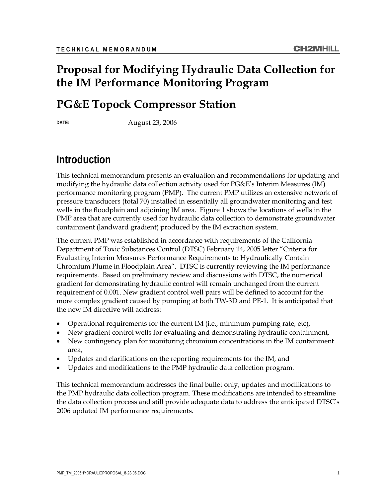## **Proposal for Modifying Hydraulic Data Collection for the IM Performance Monitoring Program**

### **PG&E Topock Compressor Station**

**DATE:** August 23, 2006

### **Introduction**

This technical memorandum presents an evaluation and recommendations for updating and modifying the hydraulic data collection activity used for PG&E's Interim Measures (IM) performance monitoring program (PMP). The current PMP utilizes an extensive network of pressure transducers (total 70) installed in essentially all groundwater monitoring and test wells in the floodplain and adjoining IM area. Figure 1 shows the locations of wells in the PMP area that are currently used for hydraulic data collection to demonstrate groundwater containment (landward gradient) produced by the IM extraction system.

The current PMP was established in accordance with requirements of the California Department of Toxic Substances Control (DTSC) February 14, 2005 letter "Criteria for Evaluating Interim Measures Performance Requirements to Hydraulically Contain Chromium Plume in Floodplain Area". DTSC is currently reviewing the IM performance requirements. Based on preliminary review and discussions with DTSC, the numerical gradient for demonstrating hydraulic control will remain unchanged from the current requirement of 0.001. New gradient control well pairs will be defined to account for the more complex gradient caused by pumping at both TW-3D and PE-1. It is anticipated that the new IM directive will address:

- Operational requirements for the current IM (i.e., minimum pumping rate, etc),
- New gradient control wells for evaluating and demonstrating hydraulic containment,
- New contingency plan for monitoring chromium concentrations in the IM containment area,
- Updates and clarifications on the reporting requirements for the IM, and
- Updates and modifications to the PMP hydraulic data collection program.

This technical memorandum addresses the final bullet only, updates and modifications to the PMP hydraulic data collection program. These modifications are intended to streamline the data collection process and still provide adequate data to address the anticipated DTSC's 2006 updated IM performance requirements.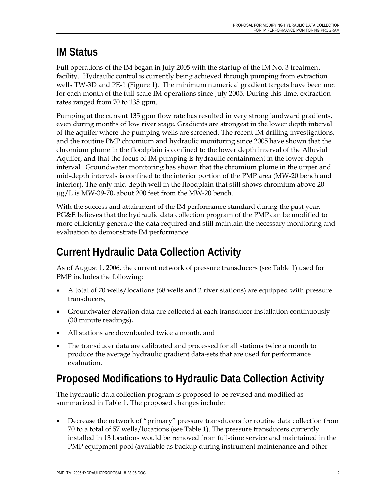## **IM Status**

Full operations of the IM began in July 2005 with the startup of the IM No. 3 treatment facility. Hydraulic control is currently being achieved through pumping from extraction wells TW-3D and PE-1 (Figure 1). The minimum numerical gradient targets have been met for each month of the full-scale IM operations since July 2005. During this time, extraction rates ranged from 70 to 135 gpm.

Pumping at the current 135 gpm flow rate has resulted in very strong landward gradients, even during months of low river stage. Gradients are strongest in the lower depth interval of the aquifer where the pumping wells are screened. The recent IM drilling investigations, and the routine PMP chromium and hydraulic monitoring since 2005 have shown that the chromium plume in the floodplain is confined to the lower depth interval of the Alluvial Aquifer, and that the focus of IM pumping is hydraulic containment in the lower depth interval. Groundwater monitoring has shown that the chromium plume in the upper and mid-depth intervals is confined to the interior portion of the PMP area (MW-20 bench and interior). The only mid-depth well in the floodplain that still shows chromium above 20 μg/L is MW-39-70, about 200 feet from the MW-20 bench.

With the success and attainment of the IM performance standard during the past year, PG&E believes that the hydraulic data collection program of the PMP can be modified to more efficiently generate the data required and still maintain the necessary monitoring and evaluation to demonstrate IM performance.

# **Current Hydraulic Data Collection Activity**

As of August 1, 2006, the current network of pressure transducers (see Table 1) used for PMP includes the following:

- A total of 70 wells/locations (68 wells and 2 river stations) are equipped with pressure transducers,
- Groundwater elevation data are collected at each transducer installation continuously (30 minute readings),
- All stations are downloaded twice a month, and
- The transducer data are calibrated and processed for all stations twice a month to produce the average hydraulic gradient data-sets that are used for performance evaluation.

# **Proposed Modifications to Hydraulic Data Collection Activity**

The hydraulic data collection program is proposed to be revised and modified as summarized in Table 1. The proposed changes include:

• Decrease the network of "primary" pressure transducers for routine data collection from 70 to a total of 57 wells/locations (see Table 1). The pressure transducers currently installed in 13 locations would be removed from full-time service and maintained in the PMP equipment pool (available as backup during instrument maintenance and other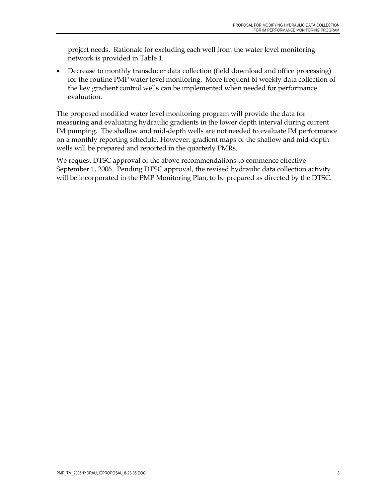project needs. Rationale for excluding each well from the water level monitoring network is provided in Table 1.

• Decrease to monthly transducer data collection (field download and office processing) for the routine PMP water level monitoring. More frequent bi-weekly data collection of the key gradient control wells can be implemented when needed for performance evaluation.

The proposed modified water level monitoring program will provide the data for measuring and evaluating hydraulic gradients in the lower depth interval during current IM pumping. The shallow and mid-depth wells are not needed to evaluate IM performance on a monthly reporting schedule. However, gradient maps of the shallow and mid-depth wells will be prepared and reported in the quarterly PMRs.

We request DTSC approval of the above recommendations to commence effective September 1, 2006. Pending DTSC approval, the revised hydraulic data collection activity will be incorporated in the PMP Monitoring Plan, to be prepared as directed by the DTSC.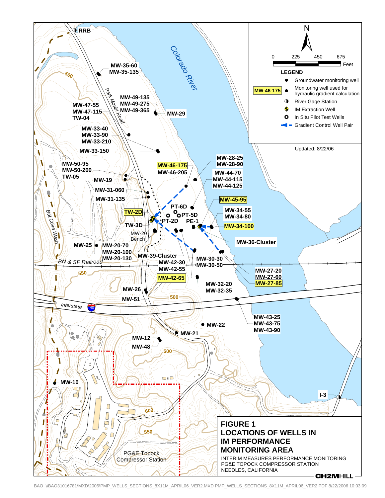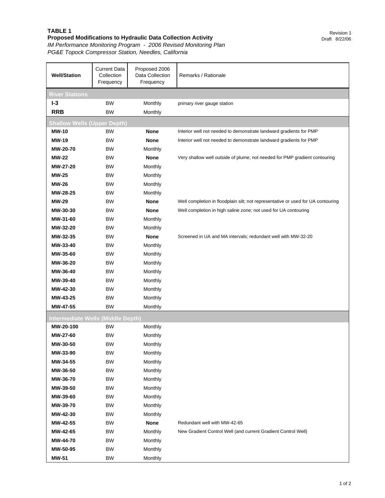### **TABLE 1**

#### **Proposed Modifications to Hydraulic Data Collection Activity**

*IM Performance Monitoring Program - 2006 Revised Monitoring Plan PG&E Topock Compressor Station, Needles, California*

| <b>Well/Station</b>                | <b>Current Data</b><br>Collection<br>Frequency | Proposed 2006<br>Data Collection<br>Frequency | Remarks / Rationale                                                              |  |
|------------------------------------|------------------------------------------------|-----------------------------------------------|----------------------------------------------------------------------------------|--|
| <b>River Stations</b>              |                                                |                                               |                                                                                  |  |
| $I-3$                              | <b>BW</b>                                      | Monthly                                       | primary river gauge station                                                      |  |
| <b>RRB</b>                         | ВW                                             | Monthly                                       |                                                                                  |  |
| <b>Shallow Wells (Upper Depth)</b> |                                                |                                               |                                                                                  |  |
| <b>MW-10</b>                       | ВW                                             | <b>None</b>                                   | Interior well not needed to demonstrate landward gradients for PMP               |  |
| <b>MW-19</b>                       | ВW                                             | <b>None</b>                                   | Interior well not needed to demonstrate landward gradients for PMP               |  |
| <b>MW-20-70</b>                    | <b>BW</b>                                      | Monthly                                       |                                                                                  |  |
| <b>MW-22</b>                       | <b>BW</b>                                      | <b>None</b>                                   | Very shallow well outside of plume; not needed for PMP gradient contouring       |  |
| <b>MW-27-20</b>                    | <b>BW</b>                                      | Monthly                                       |                                                                                  |  |
| <b>MW-25</b>                       | ВW                                             | Monthly                                       |                                                                                  |  |
| <b>MW-26</b>                       | ВW                                             | Monthly                                       |                                                                                  |  |
| MW-28-25                           | <b>BW</b>                                      | Monthly                                       |                                                                                  |  |
| <b>MW-29</b>                       | ВW                                             | <b>None</b>                                   | Well completion in floodplain silt; not representative or used for UA contouring |  |
| MW-30-30                           | BW                                             | <b>None</b>                                   | Well completion in high saline zone; not used for UA contouring                  |  |
| MW-31-60                           | <b>BW</b>                                      | Monthly                                       |                                                                                  |  |
| MW-32-20                           | ВW                                             | Monthly                                       |                                                                                  |  |
| MW-32-35                           | ВW                                             | <b>None</b>                                   | Screened in UA and MA intervals; redundant well with MW-32-20                    |  |
| MW-33-40                           | BW                                             | Monthly                                       |                                                                                  |  |
| MW-35-60                           | BW                                             | Monthly                                       |                                                                                  |  |
| MW-36-20                           | ВW                                             | Monthly                                       |                                                                                  |  |
| MW-36-40                           | BW                                             | Monthly                                       |                                                                                  |  |
| MW-39-40                           | BW                                             | Monthly                                       |                                                                                  |  |
| MW-42-30                           | ВW                                             | Monthly                                       |                                                                                  |  |
| MW-43-25                           | ВW                                             | Monthly                                       |                                                                                  |  |
| MW-47-55                           | <b>BW</b>                                      | Monthly                                       |                                                                                  |  |
| Intermediate Wells (Middle Depth)  |                                                |                                               |                                                                                  |  |
| MW-20-100                          | BW                                             | Monthly                                       |                                                                                  |  |
| MW-27-60                           | ВW                                             | Monthly                                       |                                                                                  |  |
| MW-30-50                           | BW                                             | Monthly                                       |                                                                                  |  |
| MW-33-90                           | ВW                                             | Monthly                                       |                                                                                  |  |
| MW-34-55                           | <b>BW</b>                                      | Monthly                                       |                                                                                  |  |
| MW-36-50                           | ВW                                             | Monthly                                       |                                                                                  |  |
| MW-36-70                           | ВW                                             | Monthly                                       |                                                                                  |  |
| MW-39-50                           | BW                                             | Monthly                                       |                                                                                  |  |
| MW-39-60                           | ВW                                             | Monthly                                       |                                                                                  |  |
| MW-39-70                           | ВW                                             | Monthly                                       |                                                                                  |  |
| MW-42-30                           | ВW                                             | Monthly                                       |                                                                                  |  |
| MW-42-55                           | <b>BW</b>                                      | <b>None</b>                                   | Redundant well with MW-42-65                                                     |  |
| MW-42-65                           | ВW                                             | Monthly                                       | New Gradient Control Well (and current Gradient Control Well)                    |  |
| MW-44-70                           | ВW                                             | Monthly                                       |                                                                                  |  |
| MW-50-95                           | BW                                             | Monthly                                       |                                                                                  |  |
| <b>MW-51</b>                       | BW                                             | Monthly                                       |                                                                                  |  |